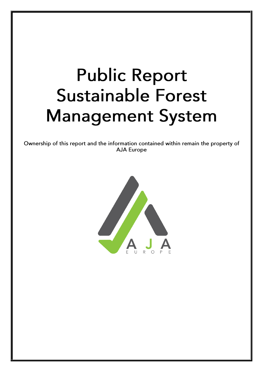# **Public Report Sustainable Forest Management System**

Ownership of this report and the information contained within remain the property of **AJA Europe** 

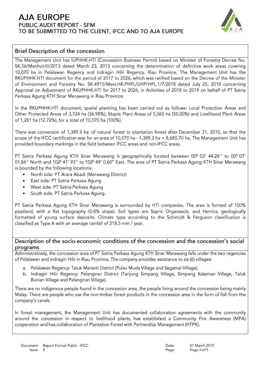# **AJA EUROPE PUBLIC AUDIT REPORT - SFM** TO BE SUBMITTED TO THE CLIENT, IFCC AND TO AJA EUROPE



### Brief Description of the concession

The Management Unit has IUPHHK-HTI (Concession Business Permit) based on Minister of Forestry Decree No. SK.56/Menhut-III/2013 dated March 23, 2013 concerning the determination of definitive work areas covering 10,070 ha in Pelalawan Regency and Indragiri Hilir Regency, Riau Province. The Management Unit has the RKUPHHK-HTI document for the period of 2017 to 2026, which was ratified based on the Decree of the Minister of Environment and Forestry No. SK.4915/MenLHK-PHPL/UHP/HPL.1/7/2018 dated July 25, 2018 concerning Approval on Adjustment of RKUPHHK-HTI for 2017 to 2026, in Activities of 2018 to 2019 on behalf of PT Satria Perkasa Agung KTH Sinar Merawang in Riau Province.

In the RKUPHHK-HTI document, spatial planning has been carried out as follows: Local Protection Areas and Other Protected Areas of 3,724 ha (36.98%), Staple Plant Areas of 5,065 ha (50.30%) and Livelihood Plant Areas of 1,281 ha (12.72%), for a total of 10,070 ha (100%).

There was conversion of 1,389.3 ha. of natural forest to plantation forest after December 31, 2010, so that the scope of the IFCC certification was for an area of 10,070 ha - 1,389.3 ha = 8,680.70 ha. The Management Unit has provided boundary markings in the field between IFCC areas and non-IFCC areas.

PT Satria Perkasa Agung KTH Sinar Merawang is geographically located between 00° 03' 44.26" to 00° 07' 01.86" North and 102º 41' 93" to 102º 49' 0.60" East. The area of PT Satria Perkasa Agung KTH Sinar Merawang is bounded by the following locations:

- North side: PT Arara Abadi (Merawang District)
- East side: PT Satria Perkasa Agung  $\bullet$
- $\bullet$ West side: PT Satria Perkasa Agung
- South side: PT Satria Perkasa Agung.

PT Satria Perkasa Agung KTH Sinar Merawang is surrounded by HTI companies. The area is formed of 100% peatland, with a flat topography (0-8% slope). Soil types are Sapric Organasols, and Hemics, geologically formatted of young surface deposits. Climate type according to the Schimidt & Ferguson classification is classified as Type A with an average rainfall of 218.5 mm / year.

#### Description of the socio-economic conditions of the concession and the concession's social programs

Administratively, the concession area of PT Satria Perkasa Agung KTH Sinar Merawang falls under the two regencies of Pelalawan and Indragiri Hilir in Riau Province. The company provides assistance to six (6) villages:

- a. Pelalawan Regency: Teluk Meranti District (Pulau Muda Village and Segamai Village).
- b. Indragiri Hilir Regency: Pelangiran District (Tanjung Simpang Village, Simpang Kateman Village, Teluk Bunian Village and Pelangiran Village).

There are no indigenous people found in the concession area, the people living around the concession being mainly Malay. There are people who use the non-timber forest products in the concession area in the form of fish from the company's canals.

In forest management, the Management Unit has documented collaboration agreements with the community around the concession in respect to livelihood plants, has established a Community Fire Awareness (MPA) cooperation and has collaboration of Plantation Forest with Partnership Management (HTPK).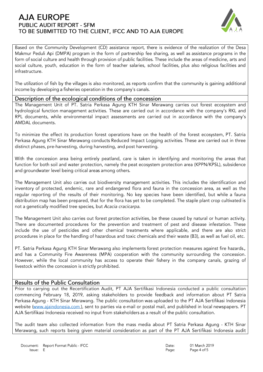# **AJA EUROPE PUBLIC AUDIT REPORT - SFM** TO BE SUBMITTED TO THE CLIENT, IFCC AND TO AJA EUROPE



Based on the Community Development (CD) assistance report, there is evidence of the realization of the Desa Makmur Peduli Api (DMPA) program in the form of partnership fee sharing, as well as assistance programs in the form of social culture and health through provision of public facilities. These include the areas of medicine, arts and social culture, youth, education in the form of teacher salaries, school facilities, plus also religious facilities and infrastructure.

The utilization of fish by the villages is also monitored, as reports confirm that the community is gaining additional income by developing a fisheries operation in the company's canals.

#### Description of the ecological conditions of the concession

The Management Unit of PT. Satria Perkasa Agung KTH Sinar Merawang carries out forest ecosystem and hydrological function management activities. These are carried out in accordance with the company's RKL and RPL documents, while environmental impact assessments are carried out in accordance with the company's AMDAL documents.

To minimize the effect its production forest operations have on the health of the forest ecosystem, PT. Satria Perkasa Agung KTH Sinar Merawang conducts Reduced Impact Logging activities. These are carried out in three distinct phases, pre-harvesting, during harvesting, and post harvesting.

With the concession area being entirely peatland, care is taken in identifying and monitoring the areas that function for both soil and water protection, namely the peat ecosystem protection area (KPPN/KPSL), subsidence and groundwater level being critical areas among others.

The Management Unit also carries out biodiversity management activities. This includes the identification and inventory of protected, endemic, rare and endangered flora and fauna in the concession area, as well as the regular reporting of the results of their monitoring. No key species have been identified, but while a fauna distribution map has been prepared, that for the flora has yet to be completed. The staple plant crop cultivated is not a genetically modified tree species, but Acacia cracicarpa.

The Management Unit also carries out forest protection activities, be these caused by natural or human activity. There are documented procedures for the prevention and treatment of pest and disease infestation. These include the use of pesticides and other chemical treatments where applicable, and there are also strict procedures in place for the handling of hazardous and toxic chemicals and their waste (B3), as well as fuel oil, etc.

PT. Satria Perkasa Agung KTH Sinar Merawang also implements forest protection measures against fire hazards., and has a Community Fire Awareness (MPA) cooperation with the community surrounding the concession. However, while the local community has access to operate their fishery in the company canals, grazing of livestock within the concession is strictly prohibited.

## **Results of the Public Consultation**

Prior to carrying out the Recertification Audit, PT AJA Sertifikasi Indonesia conducted a public consultation commencing February 18, 2019, asking stakeholders to provide feedback and information about PT Satria Perkasa Agung - KTH Sinar Merawang. The public consultation was uploaded to the PT AJA Sertifikasi Indonesia website (www.ajaindonesia.com), sent to parties via e-mail or postal mail, and published in local newspapers. PT AJA Sertifikasi Indonesia received no input from stakeholders as a result of the public consultation.

The audit team also collected information from the mass media about PT Satria Perkasa Agung - KTH Sinar Merawang, such reports being given material consideration as part of the PT AJA Sertifikasi Indonesia audit